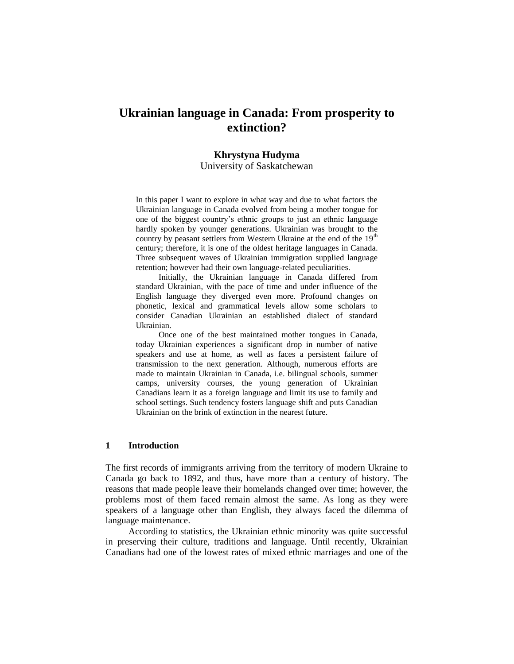# **Ukrainian language in Canada: From prosperity to extinction?**

#### **Khrystyna Hudyma**

University of Saskatchewan

In this paper I want to explore in what way and due to what factors the Ukrainian language in Canada evolved from being a mother tongue for one of the biggest country's ethnic groups to just an ethnic language hardly spoken by younger generations. Ukrainian was brought to the country by peasant settlers from Western Ukraine at the end of the 19<sup>th</sup> century; therefore, it is one of the oldest heritage languages in Canada. Three subsequent waves of Ukrainian immigration supplied language retention; however had their own language-related peculiarities.

Initially, the Ukrainian language in Canada differed from standard Ukrainian, with the pace of time and under influence of the English language they diverged even more. Profound changes on phonetic, lexical and grammatical levels allow some scholars to consider Canadian Ukrainian an established dialect of standard Ukrainian.

Once one of the best maintained mother tongues in Canada, today Ukrainian experiences a significant drop in number of native speakers and use at home, as well as faces a persistent failure of transmission to the next generation. Although, numerous efforts are made to maintain Ukrainian in Canada, i.e. bilingual schools, summer camps, university courses, the young generation of Ukrainian Canadians learn it as a foreign language and limit its use to family and school settings. Such tendency fosters language shift and puts Canadian Ukrainian on the brink of extinction in the nearest future.

#### **1 Introduction**

The first records of immigrants arriving from the territory of modern Ukraine to Canada go back to 1892, and thus, have more than a century of history. The reasons that made people leave their homelands changed over time; however, the problems most of them faced remain almost the same. As long as they were speakers of a language other than English, they always faced the dilemma of language maintenance.

According to statistics, the Ukrainian ethnic minority was quite successful in preserving their culture, traditions and language. Until recently, Ukrainian Canadians had one of the lowest rates of mixed ethnic marriages and one of the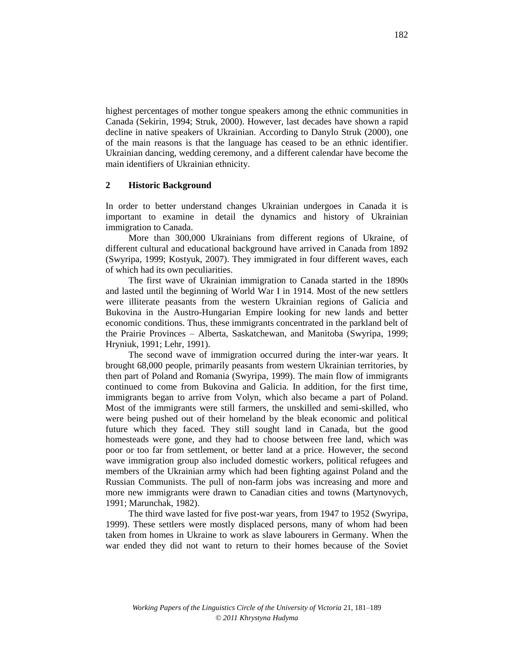highest percentages of mother tongue speakers among the ethnic communities in Canada (Sekirin, 1994; Struk, 2000). However, last decades have shown a rapid decline in native speakers of Ukrainian. According to Danylo Struk (2000), one of the main reasons is that the language has ceased to be an ethnic identifier. Ukrainian dancing, wedding ceremony, and a different calendar have become the main identifiers of Ukrainian ethnicity.

## **2 Historic Background**

In order to better understand changes Ukrainian undergoes in Canada it is important to examine in detail the dynamics and history of Ukrainian immigration to Canada.

More than 300,000 Ukrainians from different regions of Ukraine, of different cultural and educational background have arrived in Canada from 1892 (Swyripa, 1999; Kostyuk, 2007). They immigrated in four different waves, each of which had its own peculiarities.

The first wave of Ukrainian immigration to Canada started in the 1890s and lasted until the beginning of World War I in 1914. Most of the new settlers were illiterate peasants from the western Ukrainian regions of Galicia and Bukovina in the Austro-Hungarian Empire looking for new lands and better economic conditions. Thus, these immigrants concentrated in the parkland belt of the Prairie Provinces – Alberta, Saskatchewan, and Manitoba (Swyripa, 1999; Hryniuk, 1991; Lehr, 1991).

The second wave of immigration occurred during the inter-war years. It brought 68,000 people, primarily peasants from western Ukrainian territories, by then part of Poland and Romania (Swyripa, 1999). The main flow of immigrants continued to come from Bukovina and Galicia. In addition, for the first time, immigrants began to arrive from Volyn, which also became a part of Poland. Most of the immigrants were still farmers, the unskilled and semi-skilled, who were being pushed out of their homeland by the bleak economic and political future which they faced. They still sought land in Canada, but the good homesteads were gone, and they had to choose between free land, which was poor or too far from settlement, or better land at a price. However, the second wave immigration group also included domestic workers, political refugees and members of the Ukrainian army which had been fighting against Poland and the Russian Communists. The pull of non-farm jobs was increasing and more and more new immigrants were drawn to Canadian cities and towns (Martynovych, 1991; Marunchak, 1982).

The third wave lasted for five post-war years, from 1947 to 1952 (Swyripa, 1999). These settlers were mostly displaced persons, many of whom had been taken from homes in Ukraine to work as slave labourers in Germany. When the war ended they did not want to return to their homes because of the Soviet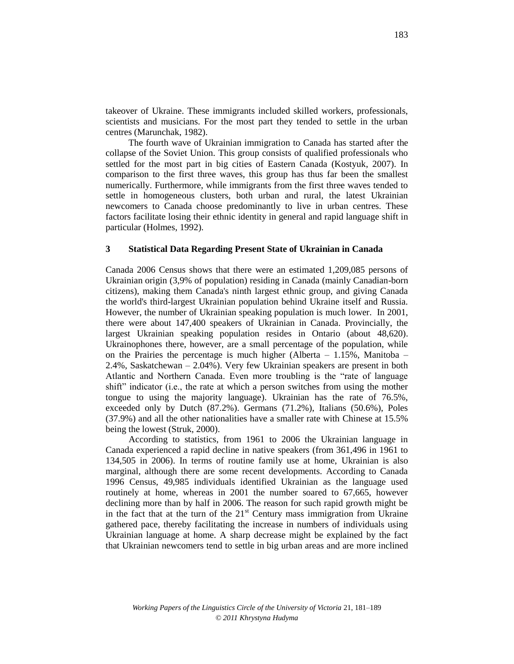takeover of Ukraine. These immigrants included skilled workers, professionals, scientists and musicians. For the most part they tended to settle in the urban centres (Marunchak, 1982).

The fourth wave of Ukrainian immigration to Canada has started after the collapse of the Soviet Union. This group consists of qualified professionals who settled for the most part in big cities of Eastern Canada (Kostyuk, 2007). In comparison to the first three waves, this group has thus far been the smallest numerically. Furthermore, while immigrants from the first three waves tended to settle in homogeneous clusters, both urban and rural, the latest Ukrainian newcomers to Canada choose predominantly to live in urban centres. These factors facilitate losing their ethnic identity in general and rapid language shift in particular (Holmes, 1992).

## **3 Statistical Data Regarding Present State of Ukrainian in Canada**

Canada 2006 Census shows that there were an estimated 1,209,085 persons of Ukrainian origin (3,9% of population) residing in Canada (mainly Canadian-born citizens), making them Canada's ninth largest ethnic group, and giving Canada the world's third-largest Ukrainian population behind Ukraine itself and Russia. However, the number of Ukrainian speaking population is much lower. In 2001, there were about 147,400 speakers of Ukrainian in Canada. Provincially, the largest Ukrainian speaking population resides in Ontario (about 48,620). Ukrainophones there, however, are a small percentage of the population, while on the Prairies the percentage is much higher (Alberta  $-1.15\%$ , Manitoba – 2.4%, Saskatchewan – 2.04%). Very few Ukrainian speakers are present in both Atlantic and Northern Canada. Even more troubling is the "rate of language shift" indicator (i.e., the rate at which a person switches from using the mother tongue to using the majority language). Ukrainian has the rate of 76.5%, exceeded only by Dutch (87.2%). Germans (71.2%), Italians (50.6%), Poles (37.9%) and all the other nationalities have a smaller rate with Chinese at 15.5% being the lowest (Struk, 2000).

According to statistics, from 1961 to 2006 the Ukrainian language in Canada experienced a rapid decline in native speakers (from 361,496 in 1961 to 134,505 in 2006). In terms of routine family use at home, Ukrainian is also marginal, although there are some recent developments. According to Canada 1996 Census, 49,985 individuals identified Ukrainian as the language used routinely at home, whereas in 2001 the number soared to 67,665, however declining more than by half in 2006. The reason for such rapid growth might be in the fact that at the turn of the  $21<sup>st</sup>$  Century mass immigration from Ukraine gathered pace, thereby facilitating the increase in numbers of individuals using Ukrainian language at home. A sharp decrease might be explained by the fact that Ukrainian newcomers tend to settle in big urban areas and are more inclined

183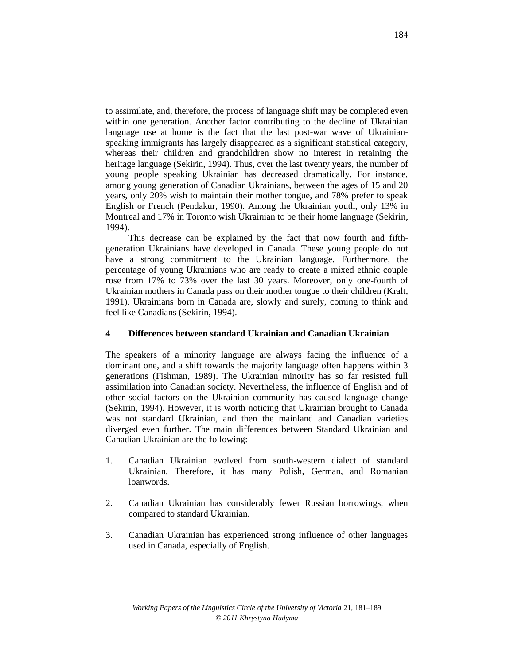to assimilate, and, therefore, the process of language shift may be completed even within one generation. Another factor contributing to the decline of Ukrainian language use at home is the fact that the last post-war wave of Ukrainianspeaking immigrants has largely disappeared as a significant statistical category, whereas their children and grandchildren show no interest in retaining the heritage language (Sekirin, 1994). Thus, over the last twenty years, the number of young people speaking Ukrainian has decreased dramatically. For instance, among young generation of Canadian Ukrainians, between the ages of 15 and 20 years, only 20% wish to maintain their mother tongue, and 78% prefer to speak English or French (Pendakur, 1990). Among the Ukrainian youth, only 13% in Montreal and 17% in Toronto wish Ukrainian to be their home language (Sekirin, 1994).

This decrease can be explained by the fact that now fourth and fifthgeneration Ukrainians have developed in Canada. These young people do not have a strong commitment to the Ukrainian language. Furthermore, the percentage of young Ukrainians who are ready to create a mixed ethnic couple rose from 17% to 73% over the last 30 years. Moreover, only one-fourth of Ukrainian mothers in Canada pass on their mother tongue to their children (Kralt, 1991). Ukrainians born in Canada are, slowly and surely, coming to think and feel like Canadians (Sekirin, 1994).

## **4 Differences between standard Ukrainian and Canadian Ukrainian**

The speakers of a minority language are always facing the influence of a dominant one, and a shift towards the majority language often happens within 3 generations (Fishman, 1989). The Ukrainian minority has so far resisted full assimilation into Canadian society. Nevertheless, the influence of English and of other social factors on the Ukrainian community has caused language change (Sekirin, 1994). However, it is worth noticing that Ukrainian brought to Canada was not standard Ukrainian, and then the mainland and Canadian varieties diverged even further. The main differences between Standard Ukrainian and Canadian Ukrainian are the following:

- 1. Canadian Ukrainian evolved from south-western dialect of standard Ukrainian. Therefore, it has many Polish, German, and Romanian loanwords.
- 2. Canadian Ukrainian has considerably fewer Russian borrowings, when compared to standard Ukrainian.
- 3. Canadian Ukrainian has experienced strong influence of other languages used in Canada, especially of English.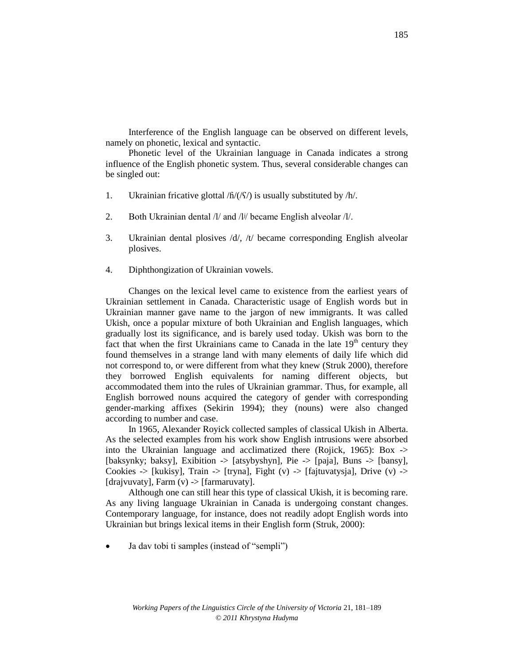Interference of the English language can be observed on different levels, namely on phonetic, lexical and syntactic.

Phonetic level of the Ukrainian language in Canada indicates a strong influence of the English phonetic system. Thus, several considerable changes can be singled out:

- 1. Ukrainian fricative glottal  $/\frac{h}{\langle \zeta \rangle}$  is usually substituted by  $/\frac{h}{\langle \zeta \rangle}$ .
- 2. Both Ukrainian dental /l/ and /l<sup>j</sup>/ became English alveolar /l/.
- 3. Ukrainian dental plosives /d/, /t/ became corresponding English alveolar plosives.
- 4. Diphthongization of Ukrainian vowels.

Changes on the lexical level came to existence from the earliest years of Ukrainian settlement in Canada. Characteristic usage of English words but in Ukrainian manner gave name to the jargon of new immigrants. It was called Ukish, once a popular mixture of both Ukrainian and English languages, which gradually lost its significance, and is barely used today. Ukish was born to the fact that when the first Ukrainians came to Canada in the late  $19<sup>th</sup>$  century they found themselves in a strange land with many elements of daily life which did not correspond to, or were different from what they knew (Struk 2000), therefore they borrowed English equivalents for naming different objects, but accommodated them into the rules of Ukrainian grammar. Thus, for example, all English borrowed nouns acquired the category of gender with corresponding gender-marking affixes (Sekirin 1994); they (nouns) were also changed according to number and case.

In 1965, Alexander Royick collected samples of classical Ukish in Alberta. As the selected examples from his work show English intrusions were absorbed into the Ukrainian language and acclimatized there (Rojick, 1965): Box -> [baksynky; baksy], Exibition -> [atsybyshyn], Pie -> [paja], Buns -> [bansy], Cookies  $\rightarrow$  [kukisy], Train  $\rightarrow$  [tryna], Fight (v)  $\rightarrow$  [fajtuvatysja], Drive (v)  $\rightarrow$ [drajvuvaty], Farm  $(v)$  -> [farmaruvaty].

Although one can still hear this type of classical Ukish, it is becoming rare. As any living language Ukrainian in Canada is undergoing constant changes. Contemporary language, for instance, does not readily adopt English words into Ukrainian but brings lexical items in their English form (Struk, 2000):

Ja dav tobi ti samples (instead of "sempli")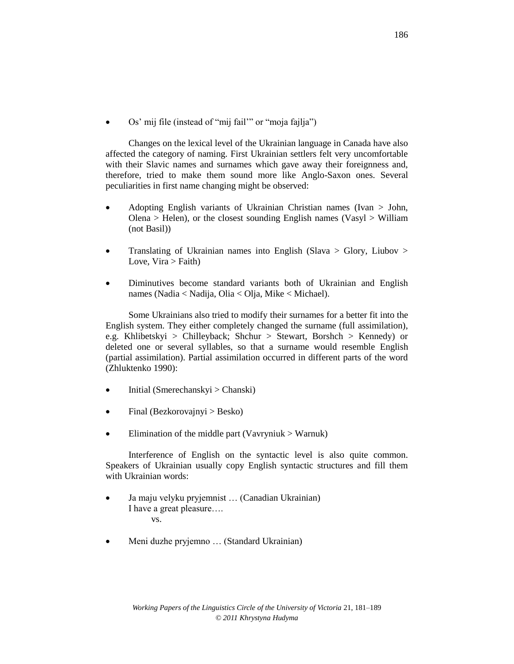Os' mij file (instead of "mij fail'" or "moja fajlja")

Changes on the lexical level of the Ukrainian language in Canada have also affected the category of naming. First Ukrainian settlers felt very uncomfortable with their Slavic names and surnames which gave away their foreignness and, therefore, tried to make them sound more like Anglo-Saxon ones. Several peculiarities in first name changing might be observed:

- Adopting English variants of Ukrainian Christian names (Ivan > John, Olena > Helen), or the closest sounding English names (Vasyl > William (not Basil))
- Translating of Ukrainian names into English (Slava  $>$  Glory, Liubov  $>$ Love,  $Vira > Faith$ )
- Diminutives become standard variants both of Ukrainian and English names (Nadia < Nadija, Olia < Olja, Mike < Michael).

Some Ukrainians also tried to modify their surnames for a better fit into the English system. They either completely changed the surname (full assimilation), e.g. Khlibetskyi > Chilleyback; Shchur > Stewart, Borshch > Kennedy) or deleted one or several syllables, so that a surname would resemble English (partial assimilation). Partial assimilation occurred in different parts of the word (Zhluktenko 1990):

- $\bullet$  Initial (Smerechanskyi > Chanski)
- $\bullet$  Final (Bezkorovajnyi > Besko)
- Elimination of the middle part (Vavryniuk  $>$  Warnuk)

Interference of English on the syntactic level is also quite common. Speakers of Ukrainian usually copy English syntactic structures and fill them with Ukrainian words:

- Ja maju velyku pryjemnist … (Canadian Ukrainian) I have a great pleasure…. vs.
- Meni duzhe pryjemno … (Standard Ukrainian)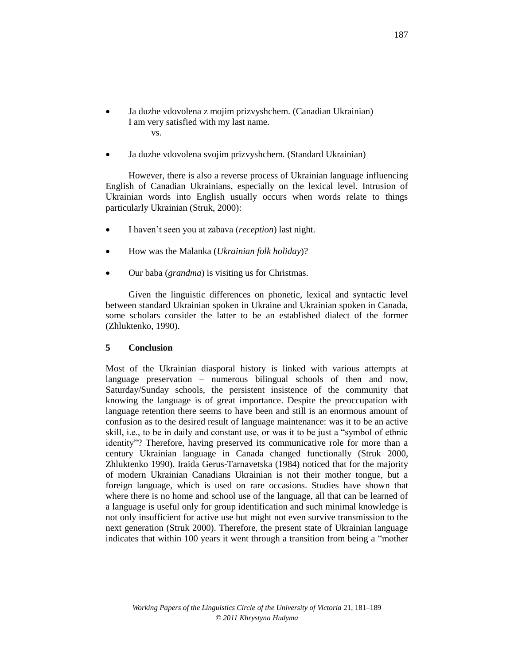- Ja duzhe vdovolena z mojim prizvyshchem. (Canadian Ukrainian) I am very satisfied with my last name. vs.
- Ja duzhe vdovolena svojim prizvyshchem. (Standard Ukrainian)

However, there is also a reverse process of Ukrainian language influencing English of Canadian Ukrainians, especially on the lexical level. Intrusion of Ukrainian words into English usually occurs when words relate to things particularly Ukrainian (Struk, 2000):

- I haven't seen you at zabava (*reception*) last night.
- How was the Malanka (*Ukrainian folk holiday*)?
- Our baba (*grandma*) is visiting us for Christmas.

Given the linguistic differences on phonetic, lexical and syntactic level between standard Ukrainian spoken in Ukraine and Ukrainian spoken in Canada, some scholars consider the latter to be an established dialect of the former (Zhluktenko, 1990).

### **5 Conclusion**

Most of the Ukrainian diasporal history is linked with various attempts at language preservation – numerous bilingual schools of then and now, Saturday/Sunday schools, the persistent insistence of the community that knowing the language is of great importance. Despite the preoccupation with language retention there seems to have been and still is an enormous amount of confusion as to the desired result of language maintenance: was it to be an active skill, i.e., to be in daily and constant use, or was it to be just a "symbol of ethnic identity"? Therefore, having preserved its communicative role for more than a century Ukrainian language in Canada changed functionally (Struk 2000, Zhluktenko 1990). Iraida Gerus-Tarnavetska (1984) noticed that for the majority of modern Ukrainian Canadians Ukrainian is not their mother tongue, but a foreign language, which is used on rare occasions. Studies have shown that where there is no home and school use of the language, all that can be learned of a language is useful only for group identification and such minimal knowledge is not only insufficient for active use but might not even survive transmission to the next generation (Struk 2000). Therefore, the present state of Ukrainian language indicates that within 100 years it went through a transition from being a "mother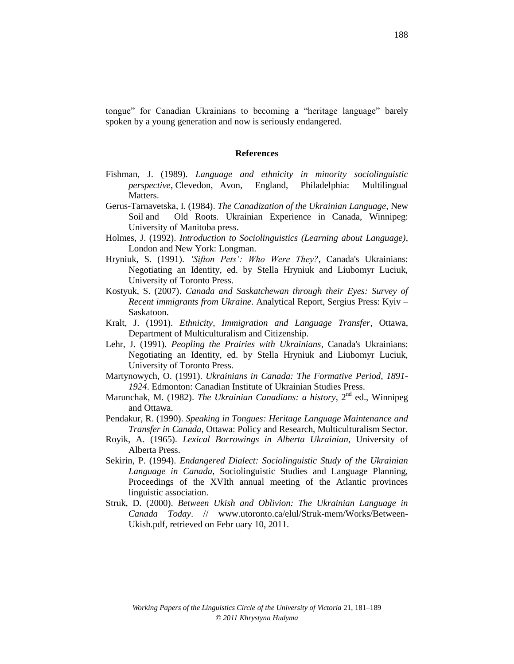tongue" for Canadian Ukrainians to becoming a "heritage language" barely spoken by a young generation and now is seriously endangered.

#### **References**

- Fishman, J. (1989). *Language and ethnicity in minority sociolinguistic perspective*, Clevedon, Avon, England, Philadelphia: Multilingual Matters.
- Gerus-Tarnavetska, I. (1984). *The Canadization of the Ukrainian Language,* New Soil and Old Roots. Ukrainian Experience in Canada, Winnipeg: University of Manitoba press.
- Holmes, J. (1992). *Introduction to Sociolinguistics (Learning about Language)*, London and New York: Longman.
- Hryniuk, S. (1991). *'Sifton Pets': Who Were They?*, Canada's Ukrainians: Negotiating an Identity, ed. by Stella Hryniuk and Liubomyr Luciuk, University of Toronto Press.
- Kostyuk, S. (2007). *Canada and Saskatchewan through their Eyes: Survey of Recent immigrants from Ukraine*. Analytical Report, Sergius Press: Kyiv – Saskatoon.
- Kralt, J. (1991). *Ethnicity, Immigration and Language Transfer*, Ottawa, Department of Multiculturalism and Citizenship.
- Lehr, J. (1991)*. Peopling the Prairies with Ukrainians*, Canada's Ukrainians: Negotiating an Identity, ed. by Stella Hryniuk and Liubomyr Luciuk, University of Toronto Press.
- Martynowych, O. (1991). *Ukrainians in Canada: The Formative Period, 1891- 1924*. Edmonton: Canadian Institute of Ukrainian Studies Press.
- Marunchak, M. (1982). *The Ukrainian Canadians: a history*, 2nd ed., Winnipeg and Ottawa.
- Pendakur, R. (1990). *Speaking in Tongues: Heritage Language Maintenance and Transfer in Canada*, Ottawa: Policy and Research, Multiculturalism Sector.
- Royik, A. (1965). *Lexical Borrowings in Alberta Ukrainian*, University of Alberta Press.
- Sekirin, P. (1994). *Endangered Dialect: Sociolinguistic Study of the Ukrainian Language in Canada*, Sociolinguistic Studies and Language Planning, Proceedings of the XVIth annual meeting of the Atlantic provinces linguistic association.
- Struk, D. (2000). *Between Ukish and Oblivion: The Ukrainian Language in Canada Today*. // www.utoronto.ca/elul/Struk-mem/Works/Between-Ukish.pdf, retrieved on Febr uary 10, 2011.